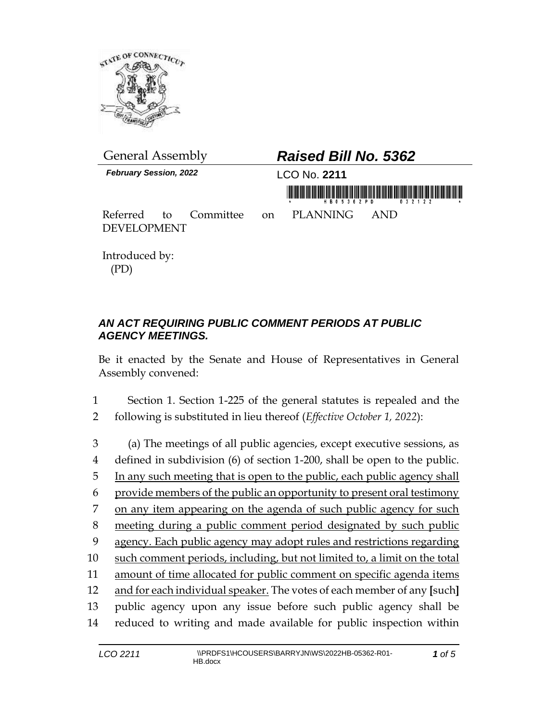

| <b>General Assembly</b>       |  |  | <b>Raised Bill No. 5362</b> |                                       |  |  |
|-------------------------------|--|--|-----------------------------|---------------------------------------|--|--|
| <b>February Session, 2022</b> |  |  | LCO No. 2211                |                                       |  |  |
|                               |  |  | HB05362PD 032122            |                                       |  |  |
| <b>DEVELOPMENT</b>            |  |  |                             | Referred to Committee on PLANNING AND |  |  |

Introduced by: (PD)

## *AN ACT REQUIRING PUBLIC COMMENT PERIODS AT PUBLIC AGENCY MEETINGS.*

Be it enacted by the Senate and House of Representatives in General Assembly convened:

1 Section 1. Section 1-225 of the general statutes is repealed and the 2 following is substituted in lieu thereof (*Effective October 1, 2022*):

 (a) The meetings of all public agencies, except executive sessions, as defined in subdivision (6) of section 1-200, shall be open to the public. In any such meeting that is open to the public, each public agency shall provide members of the public an opportunity to present oral testimony on any item appearing on the agenda of such public agency for such meeting during a public comment period designated by such public agency. Each public agency may adopt rules and restrictions regarding such comment periods, including, but not limited to, a limit on the total amount of time allocated for public comment on specific agenda items and for each individual speaker. The votes of each member of any **[**such**]**  public agency upon any issue before such public agency shall be reduced to writing and made available for public inspection within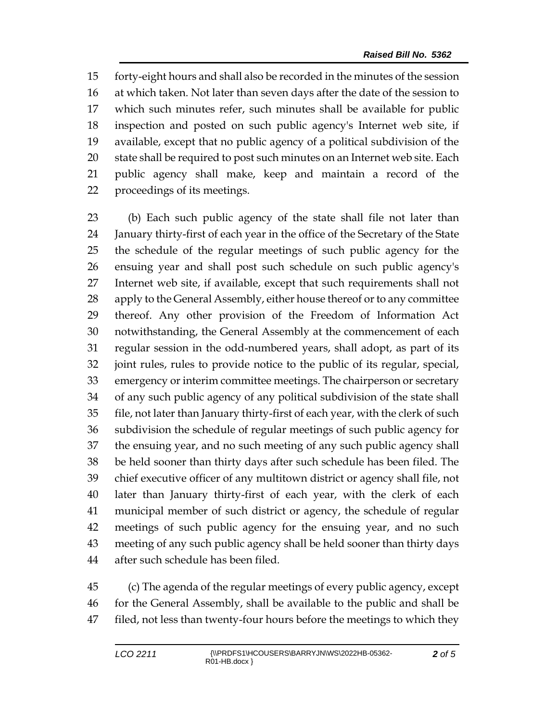forty-eight hours and shall also be recorded in the minutes of the session at which taken. Not later than seven days after the date of the session to which such minutes refer, such minutes shall be available for public inspection and posted on such public agency's Internet web site, if available, except that no public agency of a political subdivision of the state shall be required to post such minutes on an Internet web site. Each public agency shall make, keep and maintain a record of the proceedings of its meetings.

 (b) Each such public agency of the state shall file not later than January thirty-first of each year in the office of the Secretary of the State the schedule of the regular meetings of such public agency for the ensuing year and shall post such schedule on such public agency's Internet web site, if available, except that such requirements shall not 28 apply to the General Assembly, either house thereof or to any committee thereof. Any other provision of the Freedom of Information Act notwithstanding, the General Assembly at the commencement of each regular session in the odd-numbered years, shall adopt, as part of its joint rules, rules to provide notice to the public of its regular, special, emergency or interim committee meetings. The chairperson or secretary of any such public agency of any political subdivision of the state shall file, not later than January thirty-first of each year, with the clerk of such subdivision the schedule of regular meetings of such public agency for the ensuing year, and no such meeting of any such public agency shall be held sooner than thirty days after such schedule has been filed. The chief executive officer of any multitown district or agency shall file, not later than January thirty-first of each year, with the clerk of each municipal member of such district or agency, the schedule of regular meetings of such public agency for the ensuing year, and no such meeting of any such public agency shall be held sooner than thirty days after such schedule has been filed.

 (c) The agenda of the regular meetings of every public agency, except for the General Assembly, shall be available to the public and shall be 47 filed, not less than twenty-four hours before the meetings to which they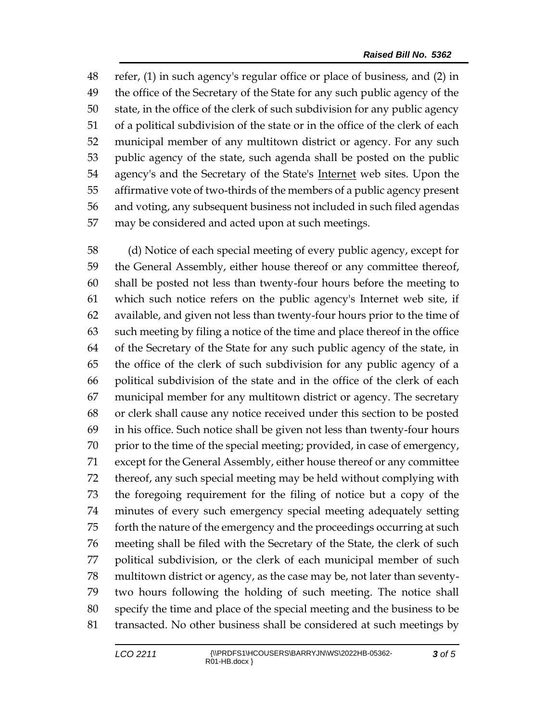refer, (1) in such agency's regular office or place of business, and (2) in the office of the Secretary of the State for any such public agency of the state, in the office of the clerk of such subdivision for any public agency of a political subdivision of the state or in the office of the clerk of each municipal member of any multitown district or agency. For any such public agency of the state, such agenda shall be posted on the public agency's and the Secretary of the State's Internet web sites. Upon the affirmative vote of two-thirds of the members of a public agency present and voting, any subsequent business not included in such filed agendas may be considered and acted upon at such meetings.

 (d) Notice of each special meeting of every public agency, except for the General Assembly, either house thereof or any committee thereof, shall be posted not less than twenty-four hours before the meeting to which such notice refers on the public agency's Internet web site, if available, and given not less than twenty-four hours prior to the time of such meeting by filing a notice of the time and place thereof in the office of the Secretary of the State for any such public agency of the state, in the office of the clerk of such subdivision for any public agency of a political subdivision of the state and in the office of the clerk of each municipal member for any multitown district or agency. The secretary or clerk shall cause any notice received under this section to be posted in his office. Such notice shall be given not less than twenty-four hours prior to the time of the special meeting; provided, in case of emergency, except for the General Assembly, either house thereof or any committee thereof, any such special meeting may be held without complying with the foregoing requirement for the filing of notice but a copy of the minutes of every such emergency special meeting adequately setting forth the nature of the emergency and the proceedings occurring at such meeting shall be filed with the Secretary of the State, the clerk of such political subdivision, or the clerk of each municipal member of such multitown district or agency, as the case may be, not later than seventy- two hours following the holding of such meeting. The notice shall specify the time and place of the special meeting and the business to be transacted. No other business shall be considered at such meetings by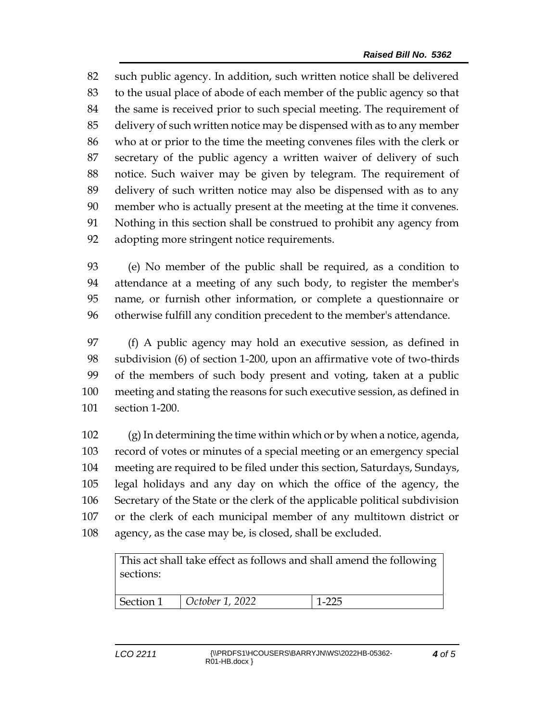such public agency. In addition, such written notice shall be delivered to the usual place of abode of each member of the public agency so that the same is received prior to such special meeting. The requirement of delivery of such written notice may be dispensed with as to any member who at or prior to the time the meeting convenes files with the clerk or secretary of the public agency a written waiver of delivery of such notice. Such waiver may be given by telegram. The requirement of delivery of such written notice may also be dispensed with as to any member who is actually present at the meeting at the time it convenes. Nothing in this section shall be construed to prohibit any agency from adopting more stringent notice requirements.

 (e) No member of the public shall be required, as a condition to attendance at a meeting of any such body, to register the member's name, or furnish other information, or complete a questionnaire or otherwise fulfill any condition precedent to the member's attendance.

 (f) A public agency may hold an executive session, as defined in subdivision (6) of section 1-200, upon an affirmative vote of two-thirds of the members of such body present and voting, taken at a public meeting and stating the reasons for such executive session, as defined in section 1-200.

 (g) In determining the time within which or by when a notice, agenda, record of votes or minutes of a special meeting or an emergency special meeting are required to be filed under this section, Saturdays, Sundays, legal holidays and any day on which the office of the agency, the Secretary of the State or the clerk of the applicable political subdivision or the clerk of each municipal member of any multitown district or agency, as the case may be, is closed, shall be excluded.

This act shall take effect as follows and shall amend the following sections: Section 1 *October 1, 2022* 1-225